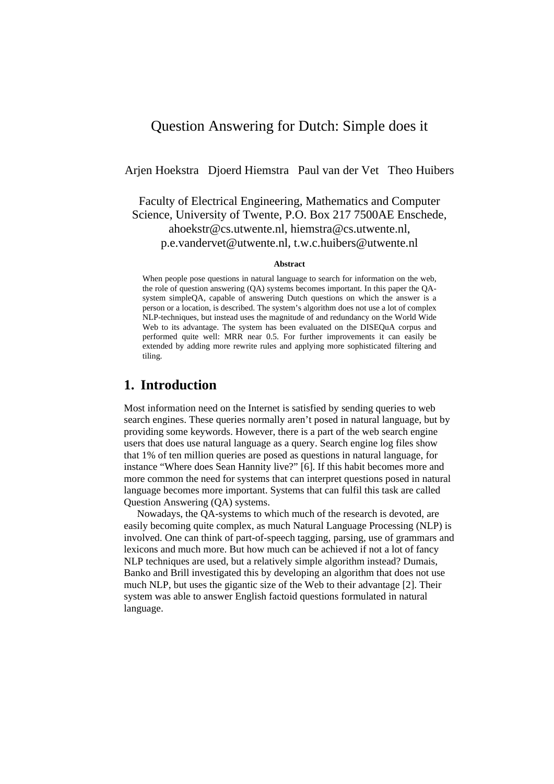# Question Answering for Dutch: Simple does it

Arjen Hoekstra Djoerd Hiemstra Paul van der Vet Theo Huibers

Faculty of Electrical Engineering, Mathematics and Computer Science, University of Twente, P.O. Box 217 7500AE Enschede, ahoekstr@cs.utwente.nl, hiemstra@cs.utwente.nl, p.e.vandervet@utwente.nl, t.w.c.huibers@utwente.nl

#### **Abstract**

When people pose questions in natural language to search for information on the web, the role of question answering (QA) systems becomes important. In this paper the QAsystem simpleQA, capable of answering Dutch questions on which the answer is a person or a location, is described. The system's algorithm does not use a lot of complex NLP-techniques, but instead uses the magnitude of and redundancy on the World Wide Web to its advantage. The system has been evaluated on the DISEOuA corpus and performed quite well: MRR near 0.5. For further improvements it can easily be extended by adding more rewrite rules and applying more sophisticated filtering and tiling.

## **1. Introduction**

Most information need on the Internet is satisfied by sending queries to web search engines. These queries normally aren't posed in natural language, but by providing some keywords. However, there is a part of the web search engine users that does use natural language as a query. Search engine log files show that 1% of ten million queries are posed as questions in natural language, for instance "Where does Sean Hannity live?" [6]. If this habit becomes more and more common the need for systems that can interpret questions posed in natural language becomes more important. Systems that can fulfil this task are called Question Answering (QA) systems.

Nowadays, the QA-systems to which much of the research is devoted, are easily becoming quite complex, as much Natural Language Processing (NLP) is involved. One can think of part-of-speech tagging, parsing, use of grammars and lexicons and much more. But how much can be achieved if not a lot of fancy NLP techniques are used, but a relatively simple algorithm instead? Dumais, Banko and Brill investigated this by developing an algorithm that does not use much NLP, but uses the gigantic size of the Web to their advantage [2]. Their system was able to answer English factoid questions formulated in natural language.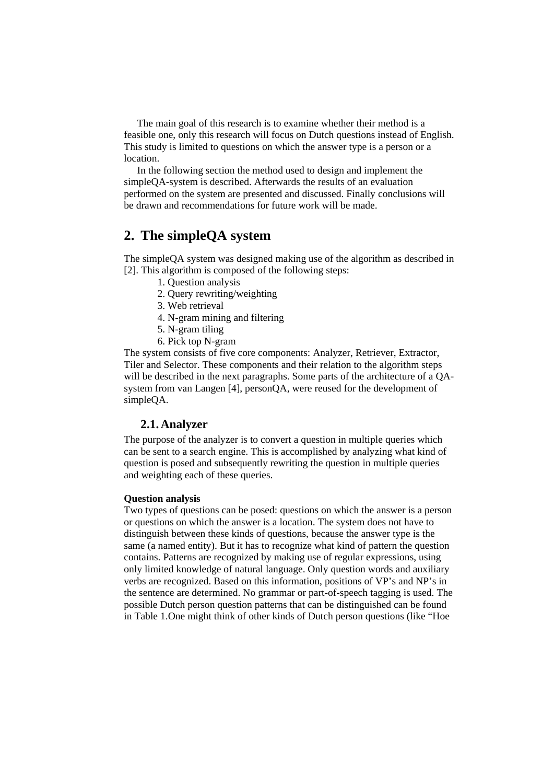The main goal of this research is to examine whether their method is a feasible one, only this research will focus on Dutch questions instead of English. This study is limited to questions on which the answer type is a person or a location.

In the following section the method used to design and implement the simpleQA-system is described. Afterwards the results of an evaluation performed on the system are presented and discussed. Finally conclusions will be drawn and recommendations for future work will be made.

# **2. The simpleQA system**

The simpleQA system was designed making use of the algorithm as described in [2]. This algorithm is composed of the following steps:

- 1. Question analysis
- 2. Query rewriting/weighting
- 3. Web retrieval
- 4. N-gram mining and filtering
- 5. N-gram tiling
- 6. Pick top N-gram

The system consists of five core components: Analyzer, Retriever, Extractor, Tiler and Selector. These components and their relation to the algorithm steps will be described in the next paragraphs. Some parts of the architecture of a QAsystem from van Langen [4], personQA, were reused for the development of simpleQA.

### **2.1. Analyzer**

The purpose of the analyzer is to convert a question in multiple queries which can be sent to a search engine. This is accomplished by analyzing what kind of question is posed and subsequently rewriting the question in multiple queries and weighting each of these queries.

#### **Question analysis**

Two types of questions can be posed: questions on which the answer is a person or questions on which the answer is a location. The system does not have to distinguish between these kinds of questions, because the answer type is the same (a named entity). But it has to recognize what kind of pattern the question contains. Patterns are recognized by making use of regular expressions, using only limited knowledge of natural language. Only question words and auxiliary verbs are recognized. Based on this information, positions of VP's and NP's in the sentence are determined. No grammar or part-of-speech tagging is used. The possible Dutch person question patterns that can be distinguished can be found in Table 1.One might think of other kinds of Dutch person questions (like "Hoe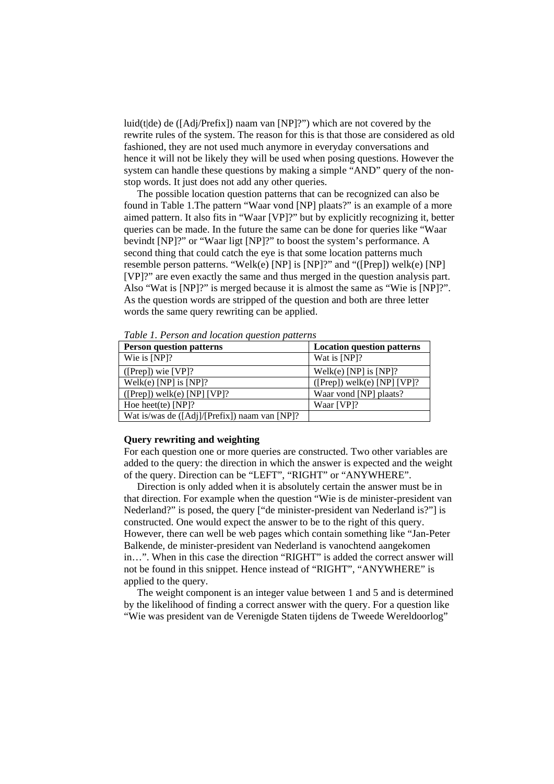luid(t|de) de ([Adj/Prefix]) naam van [NP]?") which are not covered by the rewrite rules of the system. The reason for this is that those are considered as old fashioned, they are not used much anymore in everyday conversations and hence it will not be likely they will be used when posing questions. However the system can handle these questions by making a simple "AND" query of the nonstop words. It just does not add any other queries.

The possible location question patterns that can be recognized can also be found in Table 1.The pattern "Waar vond [NP] plaats?" is an example of a more aimed pattern. It also fits in "Waar [VP]?" but by explicitly recognizing it, better queries can be made. In the future the same can be done for queries like "Waar bevindt [NP]?" or "Waar ligt [NP]?" to boost the system's performance. A second thing that could catch the eye is that some location patterns much resemble person patterns. "Welk(e) [NP] is [NP]?" and "([Prep]) welk(e) [NP] [VP]?" are even exactly the same and thus merged in the question analysis part. Also "Wat is [NP]?" is merged because it is almost the same as "Wie is [NP]?". As the question words are stripped of the question and both are three letter words the same query rewriting can be applied.

| Tuble 1.1 erson und locullon question putterns |                                   |  |  |  |
|------------------------------------------------|-----------------------------------|--|--|--|
| <b>Person question patterns</b>                | <b>Location question patterns</b> |  |  |  |
| Wie is $[NP]$ ?                                | Wat is [NP]?                      |  |  |  |
| $([Prep])$ wie $[VP]$ ?                        | Welk(e) [NP] is [NP]?             |  |  |  |
| Welk(e) [NP] is [NP]?                          | $([Prep])$ welk(e) [NP] [VP]?     |  |  |  |
| $([Prep])$ welk(e) [NP] [VP]?                  | Waar vond [NP] plaats?            |  |  |  |
| Hoe heet(te) $[NP]$ ?                          | Waar [VP]?                        |  |  |  |
| Wat is/was de ([Adj]/[Prefix]) naam van [NP]?  |                                   |  |  |  |

*Table 1. Person and location question patterns* 

#### **Query rewriting and weighting**

For each question one or more queries are constructed. Two other variables are added to the query: the direction in which the answer is expected and the weight of the query. Direction can be "LEFT", "RIGHT" or "ANYWHERE".

Direction is only added when it is absolutely certain the answer must be in that direction. For example when the question "Wie is de minister-president van Nederland?" is posed, the query ["de minister-president van Nederland is?"] is constructed. One would expect the answer to be to the right of this query. However, there can well be web pages which contain something like "Jan-Peter Balkende, de minister-president van Nederland is vanochtend aangekomen in…". When in this case the direction "RIGHT" is added the correct answer will not be found in this snippet. Hence instead of "RIGHT", "ANYWHERE" is applied to the query.

The weight component is an integer value between 1 and 5 and is determined by the likelihood of finding a correct answer with the query. For a question like "Wie was president van de Verenigde Staten tijdens de Tweede Wereldoorlog"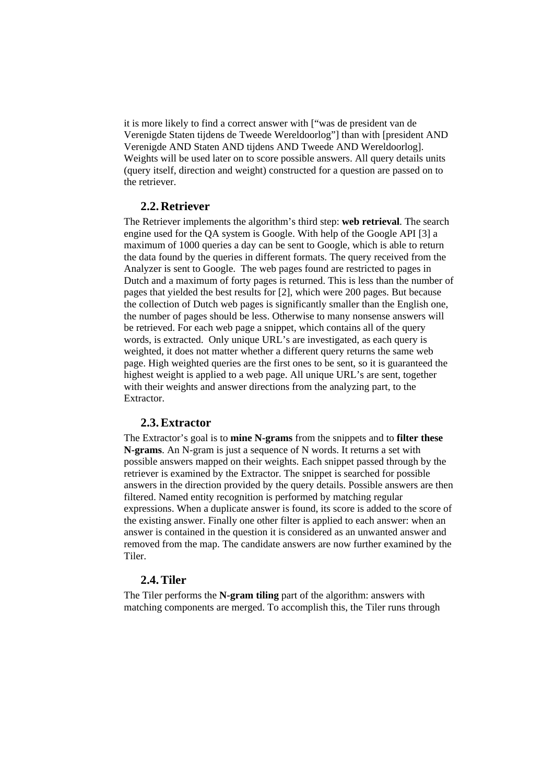it is more likely to find a correct answer with ["was de president van de Verenigde Staten tijdens de Tweede Wereldoorlog"] than with [president AND Verenigde AND Staten AND tijdens AND Tweede AND Wereldoorlog]. Weights will be used later on to score possible answers. All query details units (query itself, direction and weight) constructed for a question are passed on to the retriever.

### **2.2. Retriever**

The Retriever implements the algorithm's third step: **web retrieval**. The search engine used for the QA system is Google. With help of the Google API [3] a maximum of 1000 queries a day can be sent to Google, which is able to return the data found by the queries in different formats. The query received from the Analyzer is sent to Google. The web pages found are restricted to pages in Dutch and a maximum of forty pages is returned. This is less than the number of pages that yielded the best results for [2], which were 200 pages. But because the collection of Dutch web pages is significantly smaller than the English one, the number of pages should be less. Otherwise to many nonsense answers will be retrieved. For each web page a snippet, which contains all of the query words, is extracted. Only unique URL's are investigated, as each query is weighted, it does not matter whether a different query returns the same web page. High weighted queries are the first ones to be sent, so it is guaranteed the highest weight is applied to a web page. All unique URL's are sent, together with their weights and answer directions from the analyzing part, to the Extractor.

### **2.3.Extractor**

The Extractor's goal is to **mine N-grams** from the snippets and to **filter these N-grams**. An N-gram is just a sequence of N words. It returns a set with possible answers mapped on their weights. Each snippet passed through by the retriever is examined by the Extractor. The snippet is searched for possible answers in the direction provided by the query details. Possible answers are then filtered. Named entity recognition is performed by matching regular expressions. When a duplicate answer is found, its score is added to the score of the existing answer. Finally one other filter is applied to each answer: when an answer is contained in the question it is considered as an unwanted answer and removed from the map. The candidate answers are now further examined by the Tiler.

### **2.4.Tiler**

The Tiler performs the **N-gram tiling** part of the algorithm: answers with matching components are merged. To accomplish this, the Tiler runs through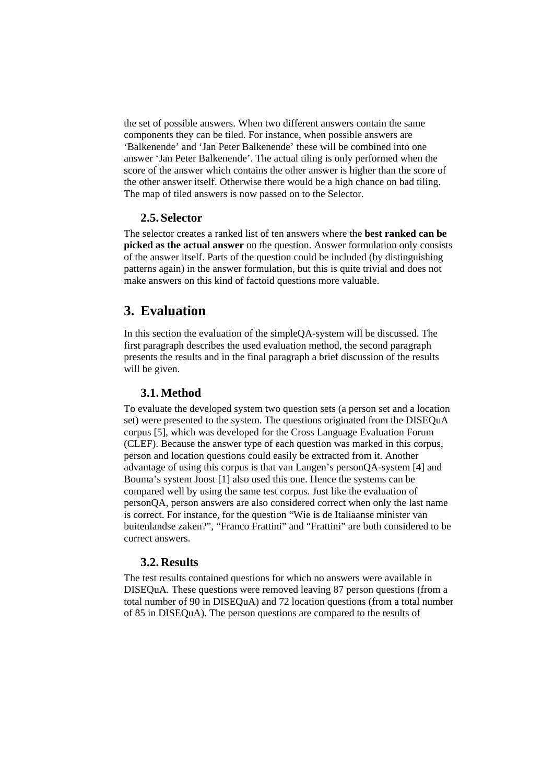the set of possible answers. When two different answers contain the same components they can be tiled. For instance, when possible answers are 'Balkenende' and 'Jan Peter Balkenende' these will be combined into one answer 'Jan Peter Balkenende'. The actual tiling is only performed when the score of the answer which contains the other answer is higher than the score of the other answer itself. Otherwise there would be a high chance on bad tiling. The map of tiled answers is now passed on to the Selector.

### **2.5. Selector**

The selector creates a ranked list of ten answers where the **best ranked can be picked as the actual answer** on the question. Answer formulation only consists of the answer itself. Parts of the question could be included (by distinguishing patterns again) in the answer formulation, but this is quite trivial and does not make answers on this kind of factoid questions more valuable.

## **3. Evaluation**

In this section the evaluation of the simpleQA-system will be discussed. The first paragraph describes the used evaluation method, the second paragraph presents the results and in the final paragraph a brief discussion of the results will be given.

### **3.1.Method**

To evaluate the developed system two question sets (a person set and a location set) were presented to the system. The questions originated from the DISEQuA corpus [5], which was developed for the Cross Language Evaluation Forum (CLEF). Because the answer type of each question was marked in this corpus, person and location questions could easily be extracted from it. Another advantage of using this corpus is that van Langen's personQA-system [4] and Bouma's system Joost [1] also used this one. Hence the systems can be compared well by using the same test corpus. Just like the evaluation of personQA, person answers are also considered correct when only the last name is correct. For instance, for the question "Wie is de Italiaanse minister van buitenlandse zaken?", "Franco Frattini" and "Frattini" are both considered to be correct answers.

### **3.2. Results**

The test results contained questions for which no answers were available in DISEQuA. These questions were removed leaving 87 person questions (from a total number of 90 in DISEQuA) and 72 location questions (from a total number of 85 in DISEQuA). The person questions are compared to the results of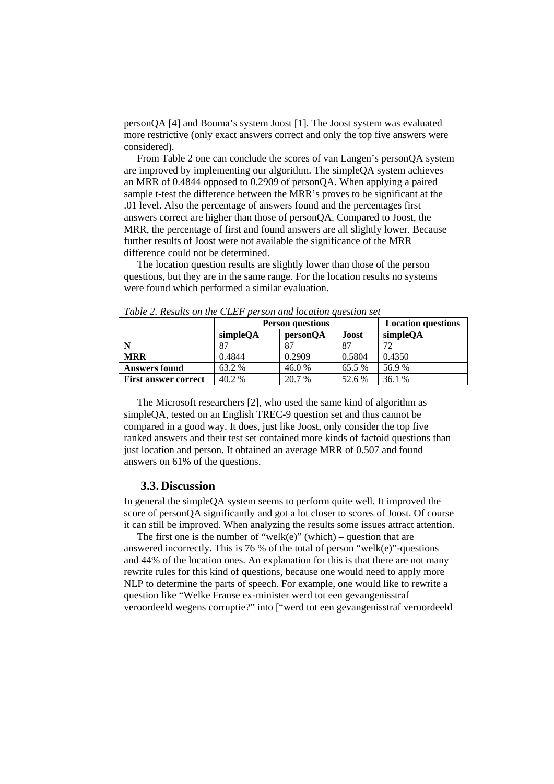personQA [4] and Bouma's system Joost [1]. The Joost system was evaluated more restrictive (only exact answers correct and only the top five answers were considered).

From Table 2 one can conclude the scores of van Langen's personQA system are improved by implementing our algorithm. The simpleQA system achieves an MRR of 0.4844 opposed to 0.2909 of personQA. When applying a paired sample t-test the difference between the MRR's proves to be significant at the .01 level. Also the percentage of answers found and the percentages first answers correct are higher than those of personQA. Compared to Joost, the MRR, the percentage of first and found answers are all slightly lower. Because further results of Joost were not available the significance of the MRR difference could not be determined.

The location question results are slightly lower than those of the person questions, but they are in the same range. For the location results no systems were found which performed a similar evaluation.

|                             | <b>Person questions</b> |          |        | <b>Location questions</b> |
|-----------------------------|-------------------------|----------|--------|---------------------------|
|                             | simpleQA                | personQA | Joost  | simpleQA                  |
|                             | 87                      | 87       | 87     | 72                        |
| <b>MRR</b>                  | 0.4844                  | 0.2909   | 0.5804 | 0.4350                    |
| <b>Answers found</b>        | 63.2 %                  | 46.0%    | 65.5 % | 56.9%                     |
| <b>First answer correct</b> | 40.2 %                  | 20.7 %   | 52.6 % | 36.1 %                    |

*Table 2. Results on the CLEF person and location question set* 

The Microsoft researchers [2], who used the same kind of algorithm as simpleQA, tested on an English TREC-9 question set and thus cannot be compared in a good way. It does, just like Joost, only consider the top five ranked answers and their test set contained more kinds of factoid questions than just location and person. It obtained an average MRR of 0.507 and found answers on 61% of the questions.

#### **3.3. Discussion**

In general the simpleQA system seems to perform quite well. It improved the score of personQA significantly and got a lot closer to scores of Joost. Of course it can still be improved. When analyzing the results some issues attract attention.

The first one is the number of "welk(e)" (which) – question that are answered incorrectly. This is 76 % of the total of person "welk(e)"-questions and 44% of the location ones. An explanation for this is that there are not many rewrite rules for this kind of questions, because one would need to apply more NLP to determine the parts of speech. For example, one would like to rewrite a question like "Welke Franse ex-minister werd tot een gevangenisstraf veroordeeld wegens corruptie?" into ["werd tot een gevangenisstraf veroordeeld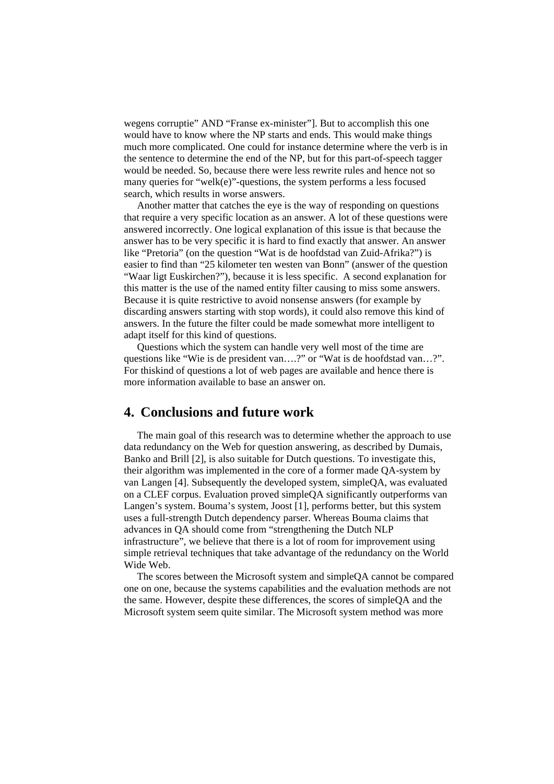wegens corruptie" AND "Franse ex-minister"]. But to accomplish this one would have to know where the NP starts and ends. This would make things much more complicated. One could for instance determine where the verb is in the sentence to determine the end of the NP, but for this part-of-speech tagger would be needed. So, because there were less rewrite rules and hence not so many queries for "welk(e)"-questions, the system performs a less focused search, which results in worse answers.

Another matter that catches the eye is the way of responding on questions that require a very specific location as an answer. A lot of these questions were answered incorrectly. One logical explanation of this issue is that because the answer has to be very specific it is hard to find exactly that answer. An answer like "Pretoria" (on the question "Wat is de hoofdstad van Zuid-Afrika?") is easier to find than "25 kilometer ten westen van Bonn" (answer of the question "Waar ligt Euskirchen?"), because it is less specific. A second explanation for this matter is the use of the named entity filter causing to miss some answers. Because it is quite restrictive to avoid nonsense answers (for example by discarding answers starting with stop words), it could also remove this kind of answers. In the future the filter could be made somewhat more intelligent to adapt itself for this kind of questions.

Questions which the system can handle very well most of the time are questions like "Wie is de president van….?" or "Wat is de hoofdstad van…?". For thiskind of questions a lot of web pages are available and hence there is more information available to base an answer on.

### **4. Conclusions and future work**

The main goal of this research was to determine whether the approach to use data redundancy on the Web for question answering, as described by Dumais, Banko and Brill [2], is also suitable for Dutch questions. To investigate this, their algorithm was implemented in the core of a former made QA-system by van Langen [4]. Subsequently the developed system, simpleQA, was evaluated on a CLEF corpus. Evaluation proved simpleQA significantly outperforms van Langen's system. Bouma's system, Joost [1], performs better, but this system uses a full-strength Dutch dependency parser. Whereas Bouma claims that advances in QA should come from "strengthening the Dutch NLP infrastructure", we believe that there is a lot of room for improvement using simple retrieval techniques that take advantage of the redundancy on the World Wide Web.

The scores between the Microsoft system and simpleQA cannot be compared one on one, because the systems capabilities and the evaluation methods are not the same. However, despite these differences, the scores of simpleQA and the Microsoft system seem quite similar. The Microsoft system method was more